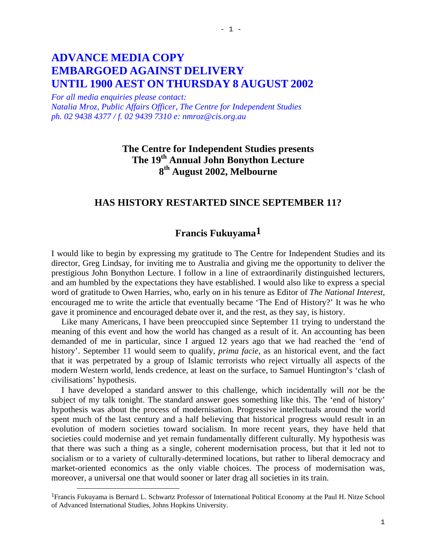# **ADVANCE MEDIA COPY EMBARGOED AGAINST DELIVERY UNTIL 1900 AEST ON THURSDAY 8 AUGUST 2002**

*For all media enquiries please contact:*

Ξ

*Natalia Mroz, Public Affairs Officer, The Centre for Independent Studies ph. 02 9438 4377 / f. 02 9439 7310 e: nmroz@cis.org.au*

## **The Centre for Independent Studies presents The 19th Annual John Bonython Lecture 8th August 2002, Melbourne**

### **HAS HISTORY RESTARTED SINCE SEPTEMBER 11?**

### **Francis Fukuyama1**

I would like to begin by expressing my gratitude to The Centre for Independent Studies and its director, Greg Lindsay, for inviting me to Australia and giving me the opportunity to deliver the prestigious John Bonython Lecture. I follow in a line of extraordinarily distinguished lecturers, and am humbled by the expectations they have established. I would also like to express a special word of gratitude to Owen Harries, who, early on in his tenure as Editor of *The National Interest*, encouraged me to write the article that eventually became 'The End of History?' It was he who gave it prominence and encouraged debate over it, and the rest, as they say, is history.

Like many Americans, I have been preoccupied since September 11 trying to understand the meaning of this event and how the world has changed as a result of it. An accounting has been demanded of me in particular, since I argued 12 years ago that we had reached the 'end of history'. September 11 would seem to qualify, *prima facie*, as an historical event, and the fact that it was perpetrated by a group of Islamic terrorists who reject virtually all aspects of the modern Western world, lends credence, at least on the surface, to Samuel Huntington's 'clash of civilisations' hypothesis.

I have developed a standard answer to this challenge, which incidentally will *not* be the subject of my talk tonight. The standard answer goes something like this. The 'end of history' hypothesis was about the process of modernisation. Progressive intellectuals around the world spent much of the last century and a half believing that historical progress would result in an evolution of modern societies toward socialism. In more recent years, they have held that societies could modernise and yet remain fundamentally different culturally. My hypothesis was that there was such a thing as a single, coherent modernisation process, but that it led not to socialism or to a variety of culturally-determined locations, but rather to liberal democracy and market-oriented economics as the only viable choices. The process of modernisation was, moreover, a universal one that would sooner or later drag all societies in its train.

<sup>1</sup>Francis Fukuyama is Bernard L. Schwartz Professor of International Political Economy at the Paul H. Nitze School of Advanced International Studies, Johns Hopkins University.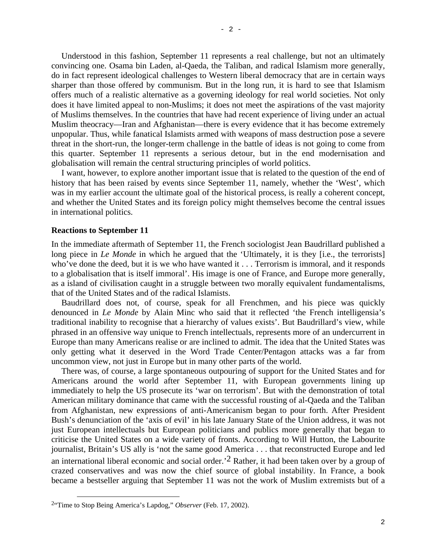Understood in this fashion, September 11 represents a real challenge, but not an ultimately

 $- 2 -$ 

convincing one. Osama bin Laden, al-Qaeda, the Taliban, and radical Islamism more generally, do in fact represent ideological challenges to Western liberal democracy that are in certain ways sharper than those offered by communism. But in the long run, it is hard to see that Islamism offers much of a realistic alternative as a governing ideology for real world societies. Not only does it have limited appeal to non-Muslims; it does not meet the aspirations of the vast majority of Muslims themselves. In the countries that have had recent experience of living under an actual Muslim theocracy—Iran and Afghanistan—there is every evidence that it has become extremely unpopular. Thus, while fanatical Islamists armed with weapons of mass destruction pose a severe threat in the short-run, the longer-term challenge in the battle of ideas is not going to come from this quarter. September 11 represents a serious detour, but in the end modernisation and globalisation will remain the central structuring principles of world politics.

I want, however, to explore another important issue that is related to the question of the end of history that has been raised by events since September 11, namely, whether the 'West', which was in my earlier account the ultimate goal of the historical process, is really a coherent concept, and whether the United States and its foreign policy might themselves become the central issues in international politics.

#### **Reactions to September 11**

In the immediate aftermath of September 11, the French sociologist Jean Baudrillard published a long piece in *Le Monde* in which he argued that the 'Ultimately, it is they [i.e., the terrorists] who've done the deed, but it is we who have wanted it . . . Terrorism is immoral, and it responds to a globalisation that is itself immoral'. His image is one of France, and Europe more generally, as a island of civilisation caught in a struggle between two morally equivalent fundamentalisms, that of the United States and of the radical Islamists.

Baudrillard does not, of course, speak for all Frenchmen, and his piece was quickly denounced in *Le Monde* by Alain Minc who said that it reflected 'the French intelligensia's traditional inability to recognise that a hierarchy of values exists'. But Baudrillard's view, while phrased in an offensive way unique to French intellectuals, represents more of an undercurrent in Europe than many Americans realise or are inclined to admit. The idea that the United States was only getting what it deserved in the Word Trade Center/Pentagon attacks was a far from uncommon view, not just in Europe but in many other parts of the world.

There was, of course, a large spontaneous outpouring of support for the United States and for Americans around the world after September 11, with European governments lining up immediately to help the US prosecute its 'war on terrorism'. But with the demonstration of total American military dominance that came with the successful rousting of al-Qaeda and the Taliban from Afghanistan, new expressions of anti-Americanism began to pour forth. After President Bush's denunciation of the 'axis of evil' in his late January State of the Union address, it was not just European intellectuals but European politicians and publics more generally that began to criticise the United States on a wide variety of fronts. According to Will Hutton, the Labourite journalist, Britain's US ally is 'not the same good America . . . that reconstructed Europe and led an international liberal economic and social order.<sup>2</sup> Rather, it had been taken over by a group of crazed conservatives and was now the chief source of global instability. In France, a book became a bestseller arguing that September 11 was not the work of Muslim extremists but of a

<sup>2&</sup>quot;Time to Stop Being America's Lapdog," *Observer* (Feb. 17, 2002).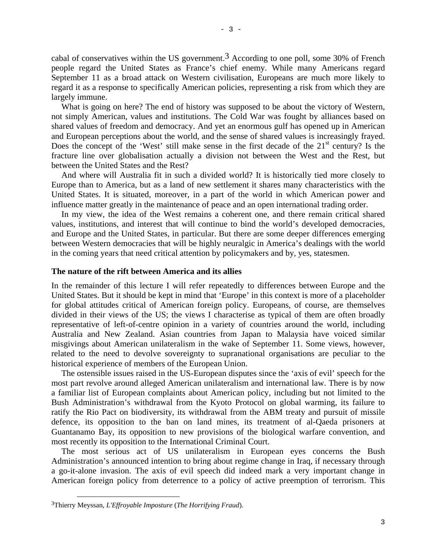cabal of conservatives within the US government.<sup>3</sup> According to one poll, some 30% of French people regard the United States as France's chief enemy. While many Americans regard September 11 as a broad attack on Western civilisation, Europeans are much more likely to regard it as a response to specifically American policies, representing a risk from which they are largely immune.

What is going on here? The end of history was supposed to be about the victory of Western, not simply American, values and institutions. The Cold War was fought by alliances based on shared values of freedom and democracy. And yet an enormous gulf has opened up in American and European perceptions about the world, and the sense of shared values is increasingly frayed. Does the concept of the 'West' still make sense in the first decade of the  $21<sup>st</sup>$  century? Is the fracture line over globalisation actually a division not between the West and the Rest, but between the United States and the Rest?

And where will Australia fit in such a divided world? It is historically tied more closely to Europe than to America, but as a land of new settlement it shares many characteristics with the United States. It is situated, moreover, in a part of the world in which American power and influence matter greatly in the maintenance of peace and an open international trading order.

In my view, the idea of the West remains a coherent one, and there remain critical shared values, institutions, and interest that will continue to bind the world's developed democracies, and Europe and the United States, in particular. But there are some deeper differences emerging between Western democracies that will be highly neuralgic in America's dealings with the world in the coming years that need critical attention by policymakers and by, yes, statesmen.

#### **The nature of the rift between America and its allies**

In the remainder of this lecture I will refer repeatedly to differences between Europe and the United States. But it should be kept in mind that 'Europe' in this context is more of a placeholder for global attitudes critical of American foreign policy. Europeans, of course, are themselves divided in their views of the US; the views I characterise as typical of them are often broadly representative of left-of-centre opinion in a variety of countries around the world, including Australia and New Zealand. Asian countries from Japan to Malaysia have voiced similar misgivings about American unilateralism in the wake of September 11. Some views, however, related to the need to devolve sovereignty to supranational organisations are peculiar to the historical experience of members of the European Union.

The ostensible issues raised in the US-European disputes since the 'axis of evil' speech for the most part revolve around alleged American unilateralism and international law. There is by now a familiar list of European complaints about American policy, including but not limited to the Bush Administration's withdrawal from the Kyoto Protocol on global warming, its failure to ratify the Rio Pact on biodiversity, its withdrawal from the ABM treaty and pursuit of missile defence, its opposition to the ban on land mines, its treatment of al-Qaeda prisoners at Guantanamo Bay, its opposition to new provisions of the biological warfare convention, and most recently its opposition to the International Criminal Court.

The most serious act of US unilateralism in European eyes concerns the Bush Administration's announced intention to bring about regime change in Iraq, if necessary through a go-it-alone invasion. The axis of evil speech did indeed mark a very important change in American foreign policy from deterrence to a policy of active preemption of terrorism. This

<sup>3</sup>Thierry Meyssan, *L'Effroyable Imposture* (*The Horrifying Fraud*).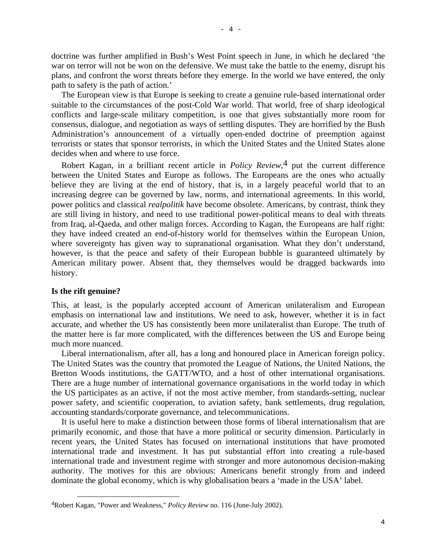doctrine was further amplified in Bush's West Point speech in June, in which he declared 'the war on terror will not be won on the defensive. We must take the battle to the enemy, disrupt his plans, and confront the worst threats before they emerge. In the world we have entered, the only path to safety is the path of action.'

The European view is that Europe is seeking to create a genuine rule-based international order suitable to the circumstances of the post-Cold War world. That world, free of sharp ideological conflicts and large-scale military competition, is one that gives substantially more room for consensus, dialogue, and negotiation as ways of settling disputes. They are horrified by the Bush Administration's announcement of a virtually open-ended doctrine of preemption against terrorists or states that sponsor terrorists, in which the United States and the United States alone decides when and where to use force.

Robert Kagan, in a brilliant recent article in *Policy Review*, 4 put the current difference between the United States and Europe as follows. The Europeans are the ones who actually believe they are living at the end of history, that is, in a largely peaceful world that to an increasing degree can be governed by law, norms, and international agreements. In this world, power politics and classical *realpolitik* have become obsolete. Americans, by contrast, think they are still living in history, and need to use traditional power-political means to deal with threats from Iraq, al-Qaeda, and other malign forces. According to Kagan, the Europeans are half right: they have indeed created an end-of-history world for themselves within the European Union, where sovereignty has given way to supranational organisation. What they don't understand, however, is that the peace and safety of their European bubble is guaranteed ultimately by American military power. Absent that, they themselves would be dragged backwards into history.

#### **Is the rift genuine?**

÷

This, at least, is the popularly accepted account of American unilateralism and European emphasis on international law and institutions. We need to ask, however, whether it is in fact accurate, and whether the US has consistently been more unilateralist than Europe. The truth of the matter here is far more complicated, with the differences between the US and Europe being much more nuanced.

Liberal internationalism, after all, has a long and honoured place in American foreign policy. The United States was the country that promoted the League of Nations, the United Nations, the Bretton Woods institutions, the GATT/WTO, and a host of other international organisations. There are a huge number of international governance organisations in the world today in which the US participates as an active, if not the most active member, from standards-setting, nuclear power safety, and scientific cooperation, to aviation safety, bank settlements, drug regulation, accounting standards/corporate governance, and telecommunications.

It is useful here to make a distinction between those forms of liberal internationalism that are primarily economic, and those that have a more political or security dimension. Particularly in recent years, the United States has focused on international institutions that have promoted international trade and investment. It has put substantial effort into creating a rule-based international trade and investment regime with stronger and more autonomous decision-making authority. The motives for this are obvious: Americans benefit strongly from and indeed dominate the global economy, which is why globalisation bears a 'made in the USA' label.

<sup>4</sup>Robert Kagan, "Power and Weakness," *Policy Review* no. 116 (June-July 2002).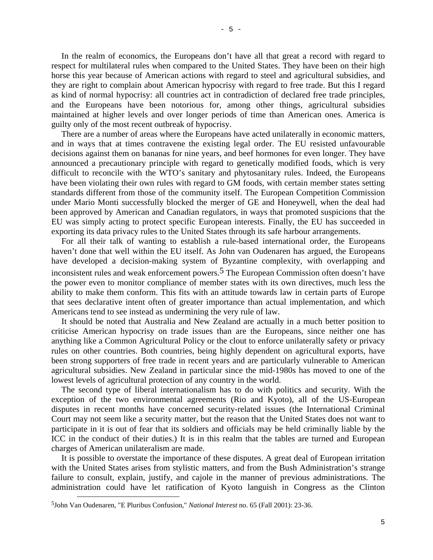In the realm of economics, the Europeans don't have all that great a record with regard to respect for multilateral rules when compared to the United States. They have been on their high horse this year because of American actions with regard to steel and agricultural subsidies, and they are right to complain about American hypocrisy with regard to free trade. But this I regard as kind of normal hypocrisy: all countries act in contradiction of declared free trade principles, and the Europeans have been notorious for, among other things, agricultural subsidies maintained at higher levels and over longer periods of time than American ones. America is guilty only of the most recent outbreak of hypocrisy.

There are a number of areas where the Europeans have acted unilaterally in economic matters, and in ways that at times contravene the existing legal order. The EU resisted unfavourable decisions against them on bananas for nine years, and beef hormones for even longer. They have announced a precautionary principle with regard to genetically modified foods, which is very difficult to reconcile with the WTO's sanitary and phytosanitary rules. Indeed, the Europeans have been violating their own rules with regard to GM foods, with certain member states setting standards different from those of the community itself. The European Competition Commission under Mario Monti successfully blocked the merger of GE and Honeywell, when the deal had been approved by American and Canadian regulators, in ways that promoted suspicions that the EU was simply acting to protect specific European interests. Finally, the EU has succeeded in exporting its data privacy rules to the United States through its safe harbour arrangements.

For all their talk of wanting to establish a rule-based international order, the Europeans haven't done that well within the EU itself. As John van Oudenaren has argued, the Europeans have developed a decision-making system of Byzantine complexity, with overlapping and inconsistent rules and weak enforcement powers.<sup>5</sup> The European Commission often doesn't have the power even to monitor compliance of member states with its own directives, much less the ability to make them conform. This fits with an attitude towards law in certain parts of Europe that sees declarative intent often of greater importance than actual implementation, and which Americans tend to see instead as undermining the very rule of law.

It should be noted that Australia and New Zealand are actually in a much better position to criticise American hypocrisy on trade issues than are the Europeans, since neither one has anything like a Common Agricultural Policy or the clout to enforce unilaterally safety or privacy rules on other countries. Both countries, being highly dependent on agricultural exports, have been strong supporters of free trade in recent years and are particularly vulnerable to American agricultural subsidies. New Zealand in particular since the mid-1980s has moved to one of the lowest levels of agricultural protection of any country in the world.

The second type of liberal internationalism has to do with politics and security. With the exception of the two environmental agreements (Rio and Kyoto), all of the US-European disputes in recent months have concerned security-related issues (the International Criminal Court may not seem like a security matter, but the reason that the United States does not want to participate in it is out of fear that its soldiers and officials may be held criminally liable by the ICC in the conduct of their duties.) It is in this realm that the tables are turned and European charges of American unilateralism are made.

It is possible to overstate the importance of these disputes. A great deal of European irritation with the United States arises from stylistic matters, and from the Bush Administration's strange failure to consult, explain, justify, and cajole in the manner of previous administrations. The administration could have let ratification of Kyoto languish in Congress as the Clinton

<sup>5</sup>John Van Oudenaren, "E Pluribus Confusion," *National Interest* no. 65 (Fall 2001): 23-36.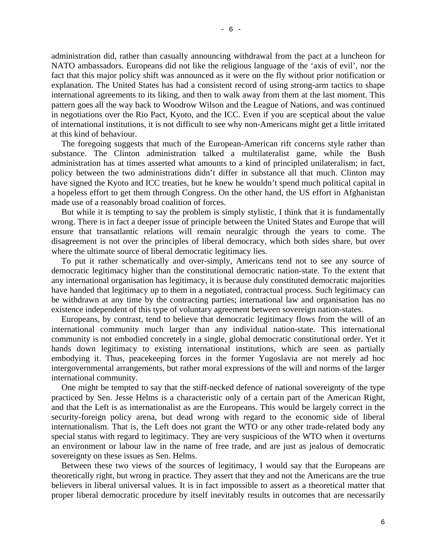administration did, rather than casually announcing withdrawal from the pact at a luncheon for NATO ambassadors. Europeans did not like the religious language of the 'axis of evil', nor the fact that this major policy shift was announced as it were on the fly without prior notification or explanation. The United States has had a consistent record of using strong-arm tactics to shape international agreements to its liking, and then to walk away from them at the last moment. This pattern goes all the way back to Woodrow Wilson and the League of Nations, and was continued in negotiations over the Rio Pact, Kyoto, and the ICC. Even if you are sceptical about the value of international institutions, it is not difficult to see why non-Americans might get a little irritated at this kind of behaviour.

The foregoing suggests that much of the European-American rift concerns style rather than substance. The Clinton administration talked a multilateralist game, while the Bush administration has at times asserted what amounts to a kind of principled unilateralism; in fact, policy between the two administrations didn't differ in substance all that much. Clinton may have signed the Kyoto and ICC treaties, but he knew he wouldn't spend much political capital in a hopeless effort to get them through Congress. On the other hand, the US effort in Afghanistan made use of a reasonably broad coalition of forces.

But while it is tempting to say the problem is simply stylistic, I think that it is fundamentally wrong. There is in fact a deeper issue of principle between the United States and Europe that will ensure that transatlantic relations will remain neuralgic through the years to come. The disagreement is not over the principles of liberal democracy, which both sides share, but over where the ultimate source of liberal democratic legitimacy lies.

To put it rather schematically and over-simply, Americans tend not to see any source of democratic legitimacy higher than the constitutional democratic nation-state. To the extent that any international organisation has legitimacy, it is because duly constituted democratic majorities have handed that legitimacy up to them in a negotiated, contractual process. Such legitimacy can be withdrawn at any time by the contracting parties; international law and organisation has no existence independent of this type of voluntary agreement between sovereign nation-states.

Europeans, by contrast, tend to believe that democratic legitimacy flows from the will of an international community much larger than any individual nation-state. This international community is not embodied concretely in a single, global democratic constitutional order. Yet it hands down legitimacy to existing international institutions, which are seen as partially embodying it. Thus, peacekeeping forces in the former Yugoslavia are not merely ad hoc intergovernmental arrangements, but rather moral expressions of the will and norms of the larger international community.

One might be tempted to say that the stiff-necked defence of national sovereignty of the type practiced by Sen. Jesse Helms is a characteristic only of a certain part of the American Right, and that the Left is as internationalist as are the Europeans. This would be largely correct in the security-foreign policy arena, but dead wrong with regard to the economic side of liberal internationalism. That is, the Left does not grant the WTO or any other trade-related body any special status with regard to legitimacy. They are very suspicious of the WTO when it overturns an environment or labour law in the name of free trade, and are just as jealous of democratic sovereignty on these issues as Sen. Helms.

Between these two views of the sources of legitimacy, I would say that the Europeans are theoretically right, but wrong in practice. They assert that they and not the Americans are the true believers in liberal universal values. It is in fact impossible to assert as a theoretical matter that proper liberal democratic procedure by itself inevitably results in outcomes that are necessarily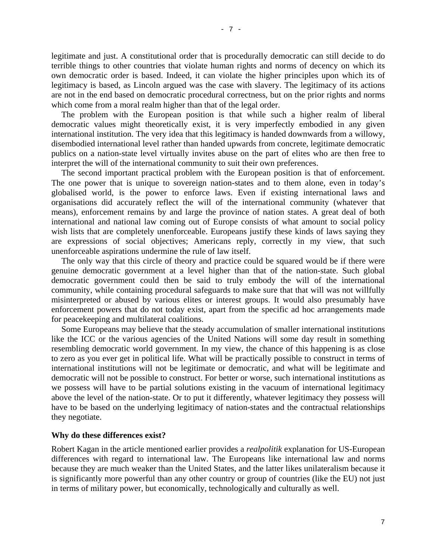legitimate and just. A constitutional order that is procedurally democratic can still decide to do terrible things to other countries that violate human rights and norms of decency on which its own democratic order is based. Indeed, it can violate the higher principles upon which its of legitimacy is based, as Lincoln argued was the case with slavery. The legitimacy of its actions are not in the end based on democratic procedural correctness, but on the prior rights and norms which come from a moral realm higher than that of the legal order.

The problem with the European position is that while such a higher realm of liberal democratic values might theoretically exist, it is very imperfectly embodied in any given international institution. The very idea that this legitimacy is handed downwards from a willowy, disembodied international level rather than handed upwards from concrete, legitimate democratic publics on a nation-state level virtually invites abuse on the part of elites who are then free to interpret the will of the international community to suit their own preferences.

The second important practical problem with the European position is that of enforcement. The one power that is unique to sovereign nation-states and to them alone, even in today's globalised world, is the power to enforce laws. Even if existing international laws and organisations did accurately reflect the will of the international community (whatever that means), enforcement remains by and large the province of nation states. A great deal of both international and national law coming out of Europe consists of what amount to social policy wish lists that are completely unenforceable. Europeans justify these kinds of laws saying they are expressions of social objectives; Americans reply, correctly in my view, that such unenforceable aspirations undermine the rule of law itself.

The only way that this circle of theory and practice could be squared would be if there were genuine democratic government at a level higher than that of the nation-state. Such global democratic government could then be said to truly embody the will of the international community, while containing procedural safeguards to make sure that that will was not willfully misinterpreted or abused by various elites or interest groups. It would also presumably have enforcement powers that do not today exist, apart from the specific ad hoc arrangements made for peacekeeping and multilateral coalitions.

Some Europeans may believe that the steady accumulation of smaller international institutions like the ICC or the various agencies of the United Nations will some day result in something resembling democratic world government. In my view, the chance of this happening is as close to zero as you ever get in political life. What will be practically possible to construct in terms of international institutions will not be legitimate or democratic, and what will be legitimate and democratic will not be possible to construct. For better or worse, such international institutions as we possess will have to be partial solutions existing in the vacuum of international legitimacy above the level of the nation-state. Or to put it differently, whatever legitimacy they possess will have to be based on the underlying legitimacy of nation-states and the contractual relationships they negotiate.

#### **Why do these differences exist?**

Robert Kagan in the article mentioned earlier provides a *realpolitik* explanation for US-European differences with regard to international law. The Europeans like international law and norms because they are much weaker than the United States, and the latter likes unilateralism because it is significantly more powerful than any other country or group of countries (like the EU) not just in terms of military power, but economically, technologically and culturally as well.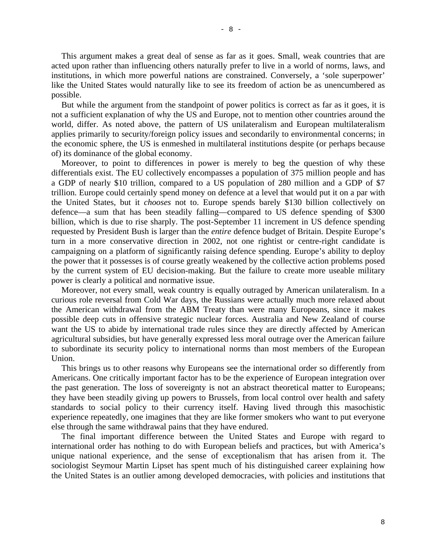This argument makes a great deal of sense as far as it goes. Small, weak countries that are acted upon rather than influencing others naturally prefer to live in a world of norms, laws, and institutions, in which more powerful nations are constrained. Conversely, a 'sole superpower' like the United States would naturally like to see its freedom of action be as unencumbered as possible.

But while the argument from the standpoint of power politics is correct as far as it goes, it is not a sufficient explanation of why the US and Europe, not to mention other countries around the world, differ. As noted above, the pattern of US unilateralism and European multilateralism applies primarily to security/foreign policy issues and secondarily to environmental concerns; in the economic sphere, the US is enmeshed in multilateral institutions despite (or perhaps because of) its dominance of the global economy.

Moreover, to point to differences in power is merely to beg the question of why these differentials exist. The EU collectively encompasses a population of 375 million people and has a GDP of nearly \$10 trillion, compared to a US population of 280 million and a GDP of \$7 trillion. Europe could certainly spend money on defence at a level that would put it on a par with the United States, but it *chooses* not to. Europe spends barely \$130 billion collectively on defence—a sum that has been steadily falling—compared to US defence spending of \$300 billion, which is due to rise sharply. The post-September 11 increment in US defence spending requested by President Bush is larger than the *entire* defence budget of Britain. Despite Europe's turn in a more conservative direction in 2002, not one rightist or centre-right candidate is campaigning on a platform of significantly raising defence spending. Europe's ability to deploy the power that it possesses is of course greatly weakened by the collective action problems posed by the current system of EU decision-making. But the failure to create more useable military power is clearly a political and normative issue.

Moreover, not every small, weak country is equally outraged by American unilateralism. In a curious role reversal from Cold War days, the Russians were actually much more relaxed about the American withdrawal from the ABM Treaty than were many Europeans, since it makes possible deep cuts in offensive strategic nuclear forces. Australia and New Zealand of course want the US to abide by international trade rules since they are directly affected by American agricultural subsidies, but have generally expressed less moral outrage over the American failure to subordinate its security policy to international norms than most members of the European Union.

This brings us to other reasons why Europeans see the international order so differently from Americans. One critically important factor has to be the experience of European integration over the past generation. The loss of sovereignty is not an abstract theoretical matter to Europeans; they have been steadily giving up powers to Brussels, from local control over health and safety standards to social policy to their currency itself. Having lived through this masochistic experience repeatedly, one imagines that they are like former smokers who want to put everyone else through the same withdrawal pains that they have endured.

The final important difference between the United States and Europe with regard to international order has nothing to do with European beliefs and practices, but with America's unique national experience, and the sense of exceptionalism that has arisen from it. The sociologist Seymour Martin Lipset has spent much of his distinguished career explaining how the United States is an outlier among developed democracies, with policies and institutions that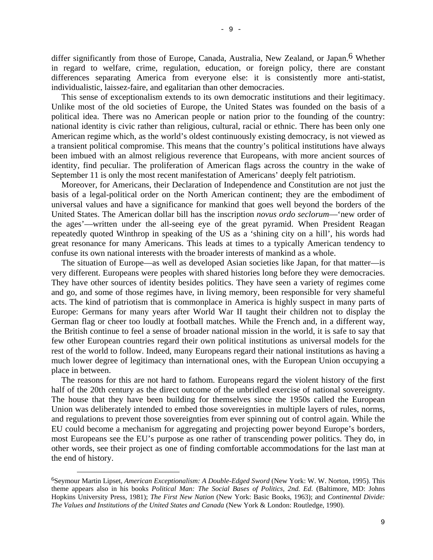differ significantly from those of Europe, Canada, Australia, New Zealand, or Japan.<sup>6</sup> Whether in regard to welfare, crime, regulation, education, or foreign policy, there are constant differences separating America from everyone else: it is consistently more anti-statist, individualistic, laissez-faire, and egalitarian than other democracies.

This sense of exceptionalism extends to its own democratic institutions and their legitimacy. Unlike most of the old societies of Europe, the United States was founded on the basis of a political idea. There was no American people or nation prior to the founding of the country: national identity is civic rather than religious, cultural, racial or ethnic. There has been only one American regime which, as the world's oldest continuously existing democracy, is not viewed as a transient political compromise. This means that the country's political institutions have always been imbued with an almost religious reverence that Europeans, with more ancient sources of identity, find peculiar. The proliferation of American flags across the country in the wake of September 11 is only the most recent manifestation of Americans' deeply felt patriotism.

Moreover, for Americans, their Declaration of Independence and Constitution are not just the basis of a legal-political order on the North American continent; they are the embodiment of universal values and have a significance for mankind that goes well beyond the borders of the United States. The American dollar bill has the inscription *novus ordo seclorum*—'new order of the ages'—written under the all-seeing eye of the great pyramid. When President Reagan repeatedly quoted Winthrop in speaking of the US as a 'shining city on a hill', his words had great resonance for many Americans. This leads at times to a typically American tendency to confuse its own national interests with the broader interests of mankind as a whole.

The situation of Europe—as well as developed Asian societies like Japan, for that matter—is very different. Europeans were peoples with shared histories long before they were democracies. They have other sources of identity besides politics. They have seen a variety of regimes come and go, and some of those regimes have, in living memory, been responsible for very shameful acts. The kind of patriotism that is commonplace in America is highly suspect in many parts of Europe: Germans for many years after World War II taught their children not to display the German flag or cheer too loudly at football matches. While the French and, in a different way, the British continue to feel a sense of broader national mission in the world, it is safe to say that few other European countries regard their own political institutions as universal models for the rest of the world to follow. Indeed, many Europeans regard their national institutions as having a much lower degree of legitimacy than international ones, with the European Union occupying a place in between.

The reasons for this are not hard to fathom. Europeans regard the violent history of the first half of the 20th century as the direct outcome of the unbridled exercise of national sovereignty. The house that they have been building for themselves since the 1950s called the European Union was deliberately intended to embed those sovereignties in multiple layers of rules, norms, and regulations to prevent those sovereignties from ever spinning out of control again. While the EU could become a mechanism for aggregating and projecting power beyond Europe's borders, most Europeans see the EU's purpose as one rather of transcending power politics. They do, in other words, see their project as one of finding comfortable accommodations for the last man at the end of history.

<sup>6</sup>Seymour Martin Lipset, *American Exceptionalism: A Double-Edged Sword* (New York: W. W. Norton, 1995). This theme appears also in his books *Political Man: The Social Bases of Politics, 2nd. Ed.* (Baltimore, MD: Johns Hopkins University Press, 1981); *The First New Nation* (New York: Basic Books, 1963); and *Continental Divide: The Values and Institutions of the United States and Canada* (New York & London: Routledge, 1990).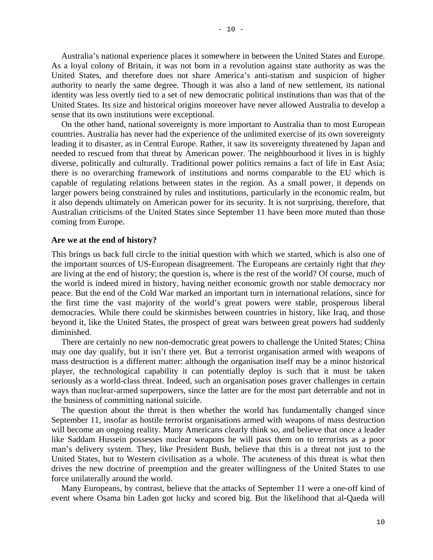Australia's national experience places it somewhere in between the United States and Europe. As a loyal colony of Britain, it was not born in a revolution against state authority as was the United States, and therefore does not share America's anti-statism and suspicion of higher authority to nearly the same degree. Though it was also a land of new settlement, its national identity was less overtly tied to a set of new democratic political institutions than was that of the United States. Its size and historical origins moreover have never allowed Australia to develop a sense that its own institutions were exceptional.

On the other hand, national sovereignty is more important to Australia than to most European countries. Australia has never had the experience of the unlimited exercise of its own sovereignty leading it to disaster, as in Central Europe. Rather, it saw its sovereignty threatened by Japan and needed to rescued from that threat by American power. The neighbourhood it lives in is highly diverse, politically and culturally. Traditional power politics remains a fact of life in East Asia; there is no overarching framework of institutions and norms comparable to the EU which is capable of regulating relations between states in the region. As a small power, it depends on larger powers being constrained by rules and institutions, particularly in the economic realm, but it also depends ultimately on American power for its security. It is not surprising, therefore, that Australian criticisms of the United States since September 11 have been more muted than those coming from Europe.

#### **Are we at the end of history?**

This brings us back full circle to the initial question with which we started, which is also one of the important sources of US-European disagreement. The Europeans are certainly right that *they* are living at the end of history; the question is, where is the rest of the world? Of course, much of the world is indeed mired in history, having neither economic growth nor stable democracy nor peace. But the end of the Cold War marked an important turn in international relations, since for the first time the vast majority of the world's great powers were stable, prosperous liberal democracies. While there could be skirmishes between countries in history, like Iraq, and those beyond it, like the United States, the prospect of great wars between great powers had suddenly diminished.

There are certainly no new non-democratic great powers to challenge the United States; China may one day qualify, but it isn't there yet. But a terrorist organisation armed with weapons of mass destruction is a different matter: although the organisation itself may be a minor historical player, the technological capability it can potentially deploy is such that it must be taken seriously as a world-class threat. Indeed, such an organisation poses graver challenges in certain ways than nuclear-armed superpowers, since the latter are for the most part deterrable and not in the business of committing national suicide.

The question about the threat is then whether the world has fundamentally changed since September 11, insofar as hostile terrorist organisations armed with weapons of mass destruction will become an ongoing reality. Many Americans clearly think so, and believe that once a leader like Saddam Hussein possesses nuclear weapons he will pass them on to terrorists as a poor man's delivery system. They, like President Bush, believe that this is a threat not just to the United States, but to Western civilisation as a whole. The acuteness of this threat is what then drives the new doctrine of preemption and the greater willingness of the United States to use force unilaterally around the world.

Many Europeans, by contrast, believe that the attacks of September 11 were a one-off kind of event where Osama bin Laden got lucky and scored big. But the likelihood that al-Qaeda will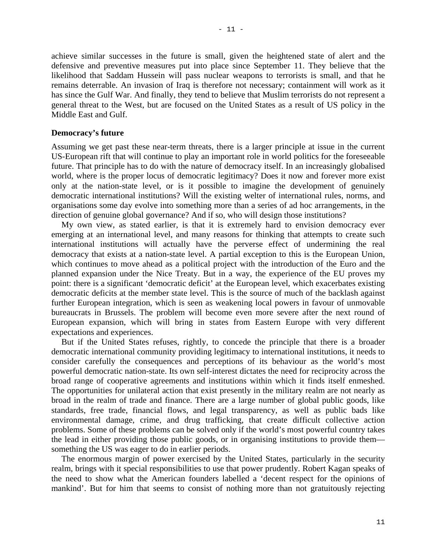achieve similar successes in the future is small, given the heightened state of alert and the defensive and preventive measures put into place since September 11. They believe that the likelihood that Saddam Hussein will pass nuclear weapons to terrorists is small, and that he remains deterrable. An invasion of Iraq is therefore not necessary; containment will work as it has since the Gulf War. And finally, they tend to believe that Muslim terrorists do not represent a general threat to the West, but are focused on the United States as a result of US policy in the Middle East and Gulf.

#### **Democracy's future**

Assuming we get past these near-term threats, there is a larger principle at issue in the current US-European rift that will continue to play an important role in world politics for the foreseeable future. That principle has to do with the nature of democracy itself. In an increasingly globalised world, where is the proper locus of democratic legitimacy? Does it now and forever more exist only at the nation-state level, or is it possible to imagine the development of genuinely democratic international institutions? Will the existing welter of international rules, norms, and organisations some day evolve into something more than a series of ad hoc arrangements, in the direction of genuine global governance? And if so, who will design those institutions?

My own view, as stated earlier, is that it is extremely hard to envision democracy ever emerging at an international level, and many reasons for thinking that attempts to create such international institutions will actually have the perverse effect of undermining the real democracy that exists at a nation-state level. A partial exception to this is the European Union, which continues to move ahead as a political project with the introduction of the Euro and the planned expansion under the Nice Treaty. But in a way, the experience of the EU proves my point: there is a significant 'democratic deficit' at the European level, which exacerbates existing democratic deficits at the member state level. This is the source of much of the backlash against further European integration, which is seen as weakening local powers in favour of unmovable bureaucrats in Brussels. The problem will become even more severe after the next round of European expansion, which will bring in states from Eastern Europe with very different expectations and experiences.

But if the United States refuses, rightly, to concede the principle that there is a broader democratic international community providing legitimacy to international institutions, it needs to consider carefully the consequences and perceptions of its behaviour as the world's most powerful democratic nation-state. Its own self-interest dictates the need for reciprocity across the broad range of cooperative agreements and institutions within which it finds itself enmeshed. The opportunities for unilateral action that exist presently in the military realm are not nearly as broad in the realm of trade and finance. There are a large number of global public goods, like standards, free trade, financial flows, and legal transparency, as well as public bads like environmental damage, crime, and drug trafficking, that create difficult collective action problems. Some of these problems can be solved only if the world's most powerful country takes the lead in either providing those public goods, or in organising institutions to provide them something the US was eager to do in earlier periods.

The enormous margin of power exercised by the United States, particularly in the security realm, brings with it special responsibilities to use that power prudently. Robert Kagan speaks of the need to show what the American founders labelled a 'decent respect for the opinions of mankind'. But for him that seems to consist of nothing more than not gratuitously rejecting